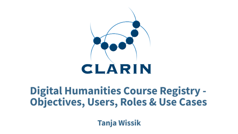# CLARIN

# **Digital Humanities Course Registry -Objectives, Users, Roles & Use Cases**

**Tanja Wissik**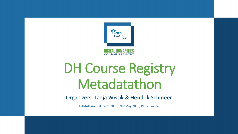

## DH Course Registry Metadatathon

Organizers: Tanja Wissik & Hendrik Schmeer

DARIAH Annual Event 2018, 24th May 2018, Paris, France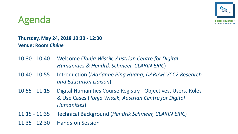

#### Agenda

#### **Thursday, May 24, 2018 10:30 - 12:30 Venue: Room** *Chêne*

- 10:30 10:40 Welcome (*Tanja Wissik, Austrian Centre for Digital Humanities & Hendrik Schmeer, CLARIN ERIC*)
- 10:40 10:55 Introduction (*Marianne Ping Huang, DARIAH VCC2 Research and Education Liaison*)
- 10:55 11:15 Digital Humanities Course Registry Objectives, Users, Roles & Use Cases (*Tanja Wissik, Austrian Centre for Digital Humanities*)
- 11:15 11:35 Technical Background (*Hendrik Schmeer, CLARIN ERIC*)

11:35 - 12:30 Hands-on Session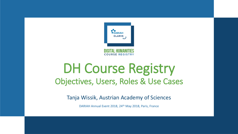

## DH Course Registry Objectives, Users, Roles & Use Cases

Tanja Wissik, Austrian Academy of Sciences

DARIAH Annual Event 2018, 24th May 2018, Paris, France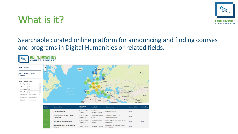### What is it?



#### Searchable curated online platform for announcing and finding courses and programs in Digital Humanities or related fields.



| <b>Status</b>              | <b>Course Name</b>                                           | <b>Education</b><br><b>Type</b> | <b>Institution</b>                      | <b>Department</b>                                         | <b>Information</b> | <b>Curriculum</b> |
|----------------------------|--------------------------------------------------------------|---------------------------------|-----------------------------------------|-----------------------------------------------------------|--------------------|-------------------|
| last revised<br>2018-05-14 | <b>Digital Humanities</b>                                    | Degree: Master<br>Programme     | Katholieke<br>Universiteit Leuven       | <b>Computer Sciences</b>                                  | Info               | <b>Section</b>    |
| last revised<br>2018-05-14 | <b>Informatica Umanistica - Digital</b><br><b>Humanities</b> | Degree: Master<br>Programme     | Università degli Studi<br>di Pisa       | <b>Information Technology &amp;</b><br>Telecommunications | Info               | $\sim$            |
| last revised<br>2018-05-07 | <b>Master in Digital Humanities</b>                          | Degree: Master<br>Programme     | Université Francois-<br><b>Rabelais</b> | Centre d'études supérieures de la<br>Renaissance          | Info               | Guide             |
| last revised<br>2018-05-07 | <b>Corpus Linguistics and Statistical</b><br><b>Methods</b>  | Credits: Course                 | University of Helsinki                  | Department of Digital Humanities<br>(FIN-CLARIN)          | Info               | <b>Contract</b>   |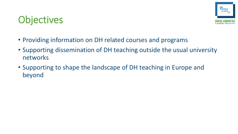## **Objectives**



- Providing information on DH related courses and programs
- Supporting dissemination of DH teaching outside the usual university networks
- Supporting to shape the landscape of DH teaching in Europe and beyond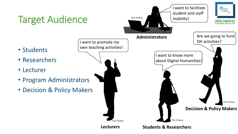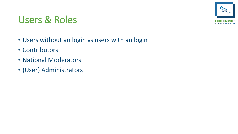#### Users & Roles



- Users without an login vs users with an login
- Contributors
- National Moderators
- (User) Administrators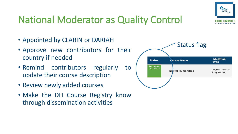

## National Moderator as Quality Control

- Appointed by CLARIN or DARIAH
- Approve new contributors for their country if needed
- Remind contributors regularly to update their course description
- Review newly added courses
- Make the DH Course Registry know through dissemination activities

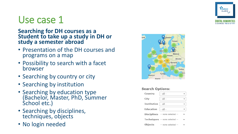

#### Use case 1

#### **Searching for DH courses as a Student to take up a study in DH or study a semester abroad**

- Presentation of the DH courses and programs on a map
- Possibility to search with a facet browser
- Searching by country or city
- Searching by institution
- Searching by education type (Bachelor, Master, PhD, Summer School etc.)
- Searching by disciplines, techniques, objects
- No login needed



#### **Search Options:**

| Country                            | - all -                                |  |
|------------------------------------|----------------------------------------|--|
| City                               | - all -                                |  |
| <b>Institution</b> $\vert$ - all - |                                        |  |
| Education                          | $-$ all $-$                            |  |
|                                    | <b>Disciplines</b> -- none selected -- |  |
|                                    | Techniques -- none selected --         |  |
| <b>Objects</b>                     | -- none selected --                    |  |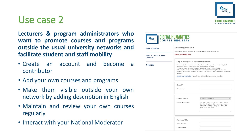**Lecturers & program administrators who want to promote courses and programs outside the usual university networks and facilitate student and staff mobility**

- Create an account and become a contributor
- Add your own courses and programs

Use case 2

- Make them visible outside your own network by adding description in English
- Maintain and review your own courses regularly
- Interact with your National Moderator